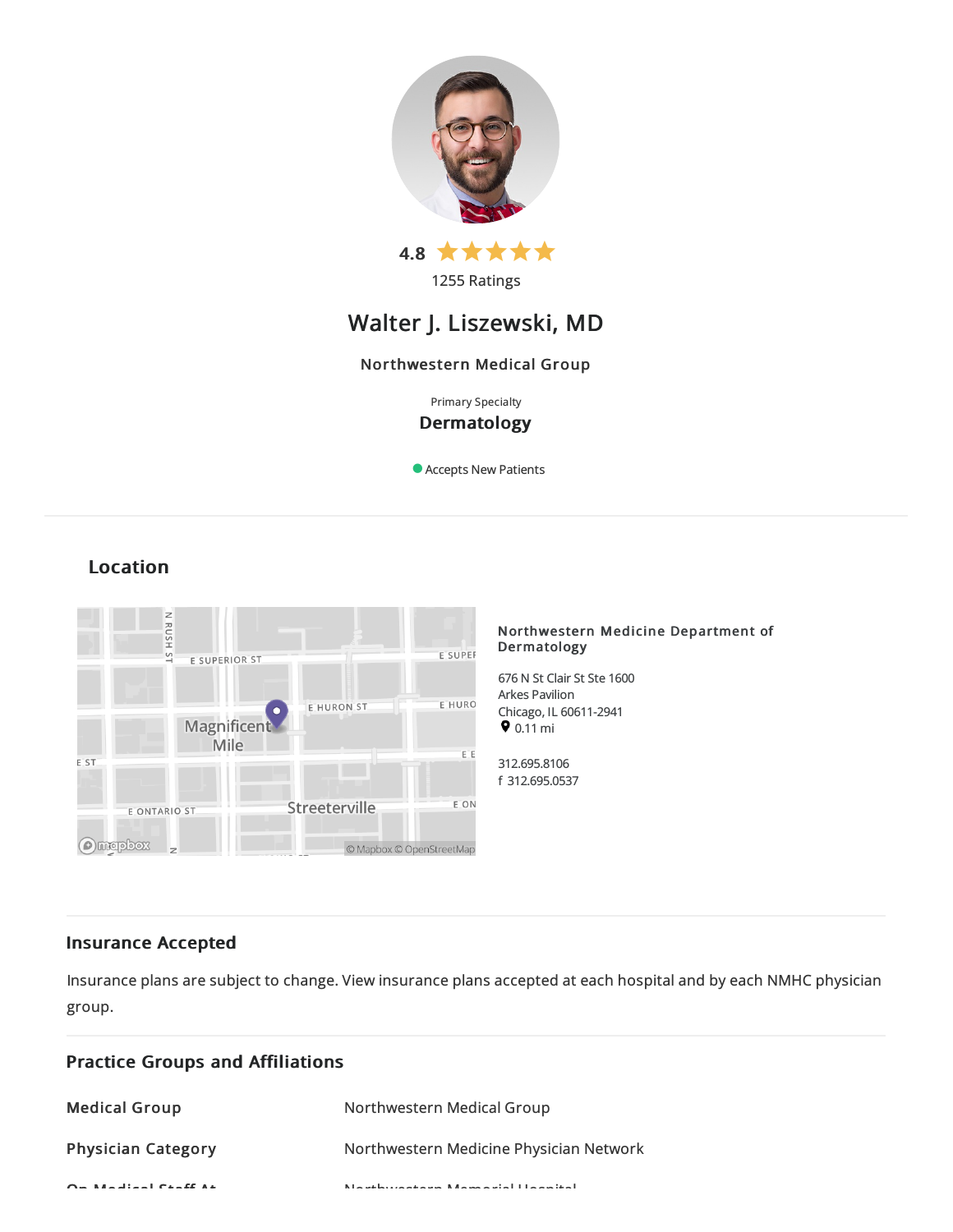

1255 Ratings

# Walter J. Liszewski, MD

## Northwestern Medical Group

Primary Specialty Dermatology

Accepts New Patients

# Location



#### Northwestern Medicine Department of Dermatology

676 N St Clair St Ste 1600 Arkes Pavilion Chicago, IL60611-2941  $9.11 \text{ mi}$ 

312.695.8106 f 312.695.0537

## Insurance Accepted

Insurance plans are subject to change. View [insurance](https://www.nm.org/patients-and-visitors/billing-and-insurance/insurance-information/accepted-insurance-plans) plans accepted at each hospital and by each NMHC physician group.

| <b>Practice Groups and Affiliations</b> |                                                           |
|-----------------------------------------|-----------------------------------------------------------|
| <b>Medical Group</b>                    | Northwestern Medical Group                                |
| <b>Physician Category</b>               | Northwestern Medicine Physician Network                   |
| $Q = M + 1$ and $Q = R$                 | March London and Louis March 2015 and a U.S. and the U.S. |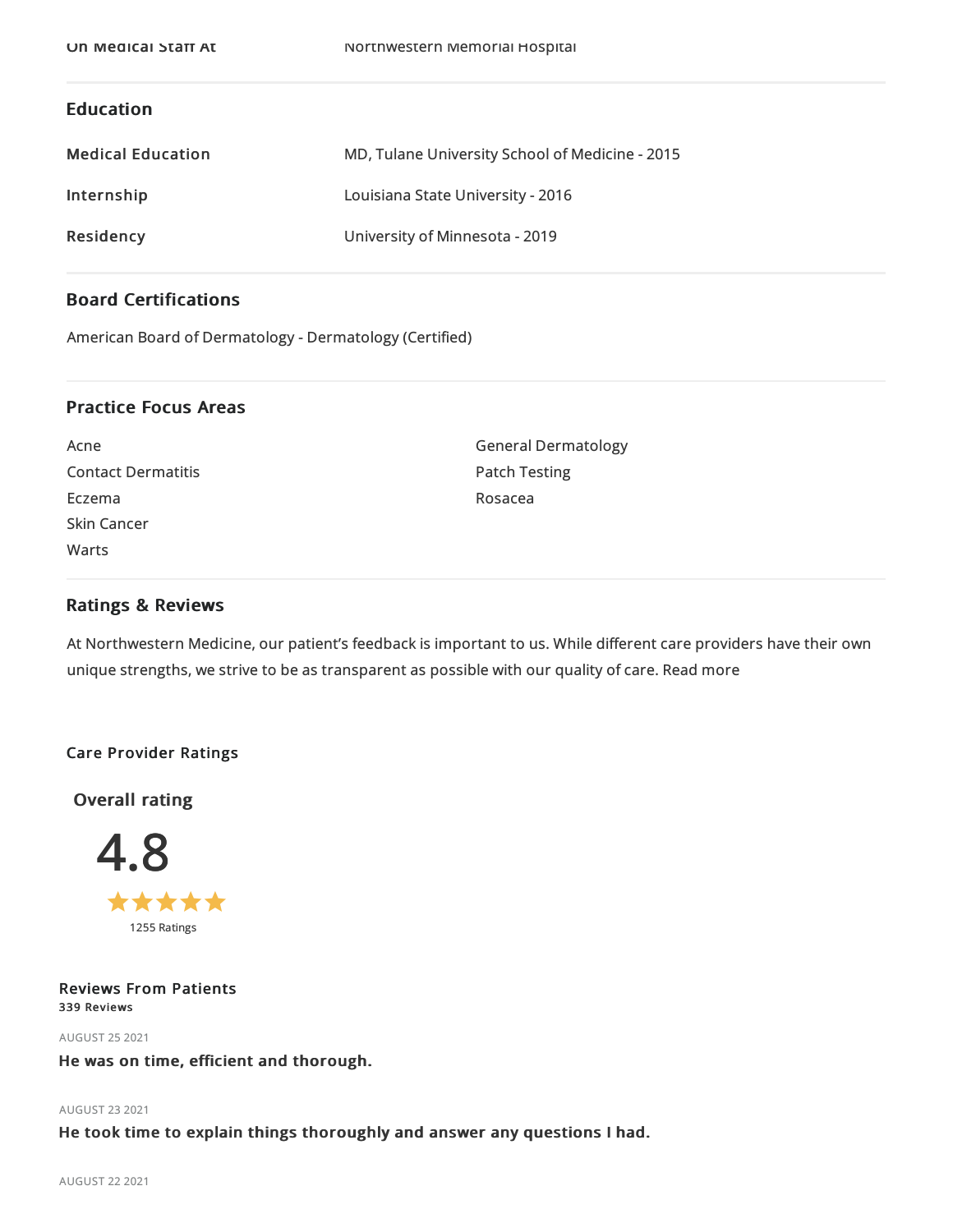## Education

| <b>Medical Education</b> | MD, Tulane University School of Medicine - 2015 |
|--------------------------|-------------------------------------------------|
| Internship               | Louisiana State University - 2016               |
| Residency                | University of Minnesota - 2019                  |

## Board Certifications

American Board of Dermatology - Dermatology (Certified)

## Practice Focus Areas

Acne Contact Dermatitis Eczema Skin Cancer Warts

General Dermatology Patch Testing Rosacea

## Ratings & Reviews

At Northwestern Medicine, our patient's feedback is important to us. While different care providers have their own unique strengths, we strive to be as transparent as possible with our quality of care. Read more

## Care Provider Ratings

Overall rating



Reviews From Patients 339 Reviews

AUGUST 252021

## He was on time, efficient and thorough.

#### AUGUST 232021

He took time to explain things thoroughly and answer any questions I had.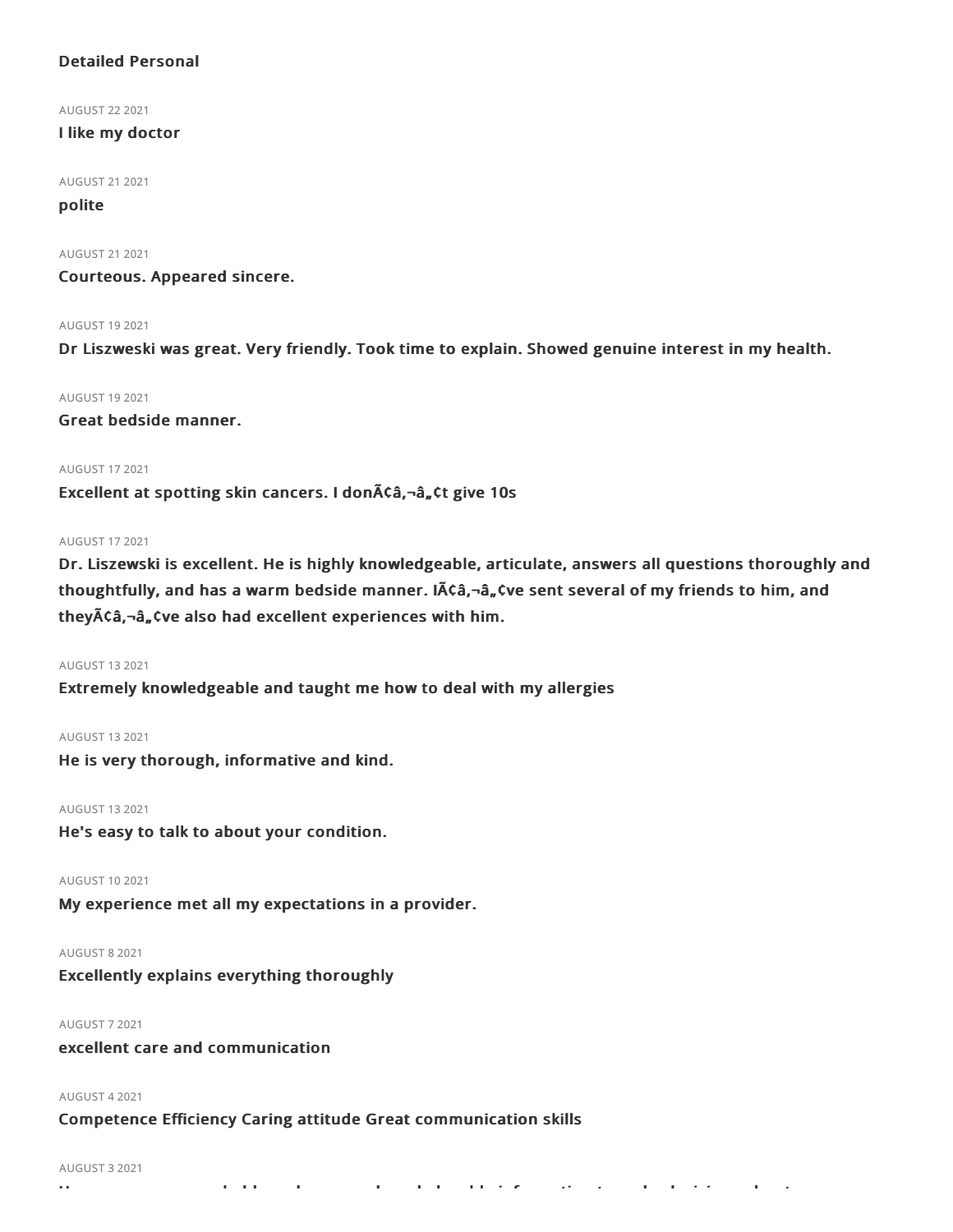## Detailed Personal

AUGUST 222021

#### I like my doctor

AUGUST 212021

## polite

AUGUST 212021

Courteous. Appeared sincere.

#### AUGUST 192021

Dr Liszweski was great. Very friendly. Took time to explain. Showed genuine interest in my health.

AUGUST 192021

Great bedside manner.

#### AUGUST 172021

Excellent at spotting skin cancers. I don A¢â, ¬â, ¢t give 10s

#### AUGUST 172021

Dr. Liszewski is excellent. He is highly knowledgeable, articulate, answers all questions thoroughly and thoughtfully, and has a warm bedside manner. IA ca,-a, tve sent several of my friends to him, and they $\tilde{A}$ Ca, $-\hat{a}$ , Cve also had excellent experiences with him.

#### AUGUST 132021

Extremely knowledgeable and taught me how to deal with my allergies

#### AUGUST 132021

He is very thorough, informative and kind.

AUGUST 132021

He's easy to talk to about your condition.

AUGUST 102021

My experience met all my expectations in a provider.

AUGUST 82021

Excellently explains everything thoroughly

#### AUGUST 72021

excellent care and communication

#### AUGUST 42021

Competence Efficiency Caring attitude Great communication skills

#### AUGUST 32021

He was very approachable and gave me knowledgeable information to make decisions about my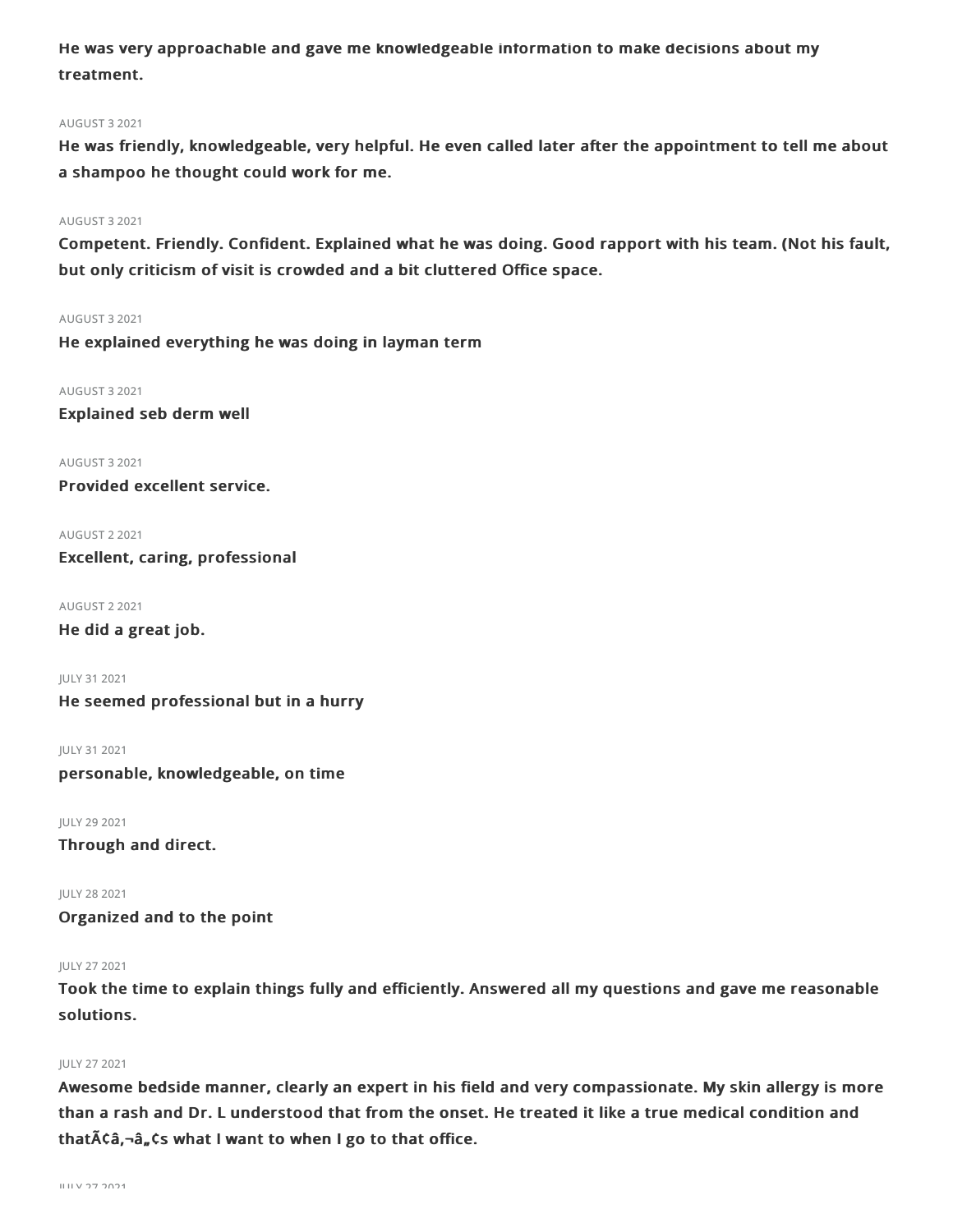He was very approachable and gave me knowledgeable information to make decisions about my treatment.

#### AUGUST 32021

He was friendly, knowledgeable, very helpful. He even called later after the appointment to tell me about a shampoo he thought could work for me.

#### AUGUST 32021

Competent. Friendly. Confident. Explained what he was doing. Good rapport with his team. (Not his fault, but only criticism of visit is crowded and a bit cluttered Office space.

AUGUST 32021

He explained everything he was doing in layman term

AUGUST 32021 Explained seb derm well

AUGUST 32021 Provided excellent service.

AUGUST 22021 Excellent, caring, professional

AUGUST 22021 He did a great job.

JULY 312021 He seemed professional but in a hurry

JULY 312021 personable, knowledgeable, on time

JULY 292021 Through and direct.

JULY 282021 Organized and to the point

#### JULY 272021

Took the time to explain things fully and efficiently. Answered all my questions and gave me reasonable solutions.

#### JULY 272021

Awesome bedside manner, clearly an expert in his field and very compassionate. My skin allergy is more than a rash and Dr. L understood that from the onset. He treated it like a true medical condition and that $\tilde{A}\zeta\hat{a}$ ,  $-\hat{a}$ ,  $\zeta$ s what I want to when I go to that office.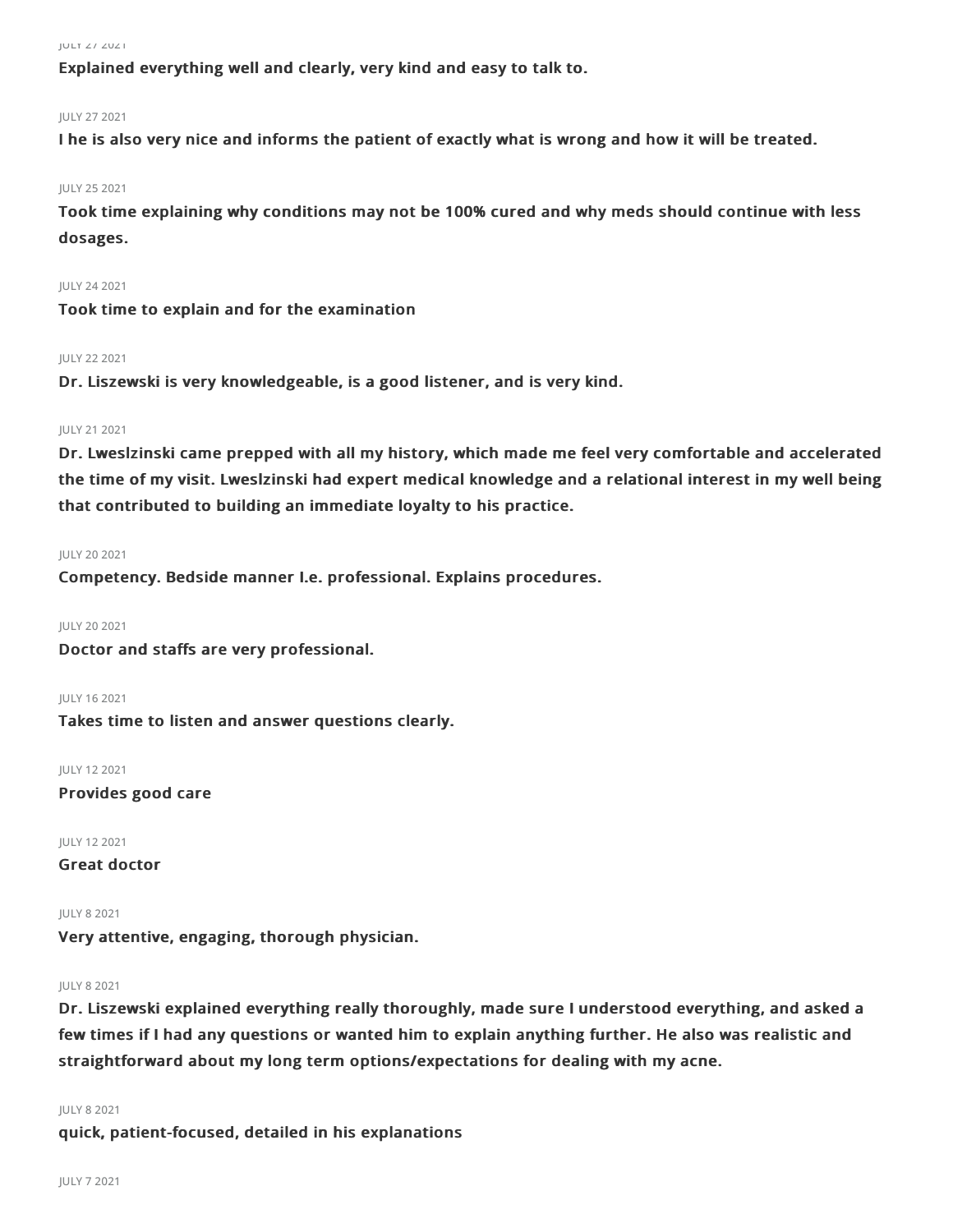Explained everything well and clearly, very kind and easy to talk to.

#### JULY 272021

I he is also very nice and informs the patient of exactly what is wrong and how it will be treated.

#### JULY 252021

Took time explaining why conditions may not be 100% cured and why meds should continue with less dosages.

#### JULY 242021

Took time to explain and for the examination

#### JULY 222021

Dr. Liszewski is very knowledgeable, is a good listener, and is very kind.

#### JULY 212021

Dr. Lweslzinski came prepped with all my history, which made me feel very comfortable and accelerated the time of my visit. Lweslzinski had expert medical knowledge and a relational interest in my well being that contributed to building an immediate loyalty to his practice.

#### JULY 202021

Competency. Bedside manner I.e. professional. Explains procedures.

JULY 202021

Doctor and staffs are very professional.

JULY 162021

Takes time to listen and answer questions clearly.

JULY 122021 Provides good care

JULY 122021

Great doctor

#### JULY 82021

Very attentive, engaging, thorough physician.

#### JULY 82021

Dr. Liszewski explained everything really thoroughly, made sure I understood everything, and asked a few times if I had any questions or wanted him to explain anything further. He also was realistic and straightforward about my long term options/expectations for dealing with my acne.

#### JULY 82021

quick, patient-focused, detailed in his explanations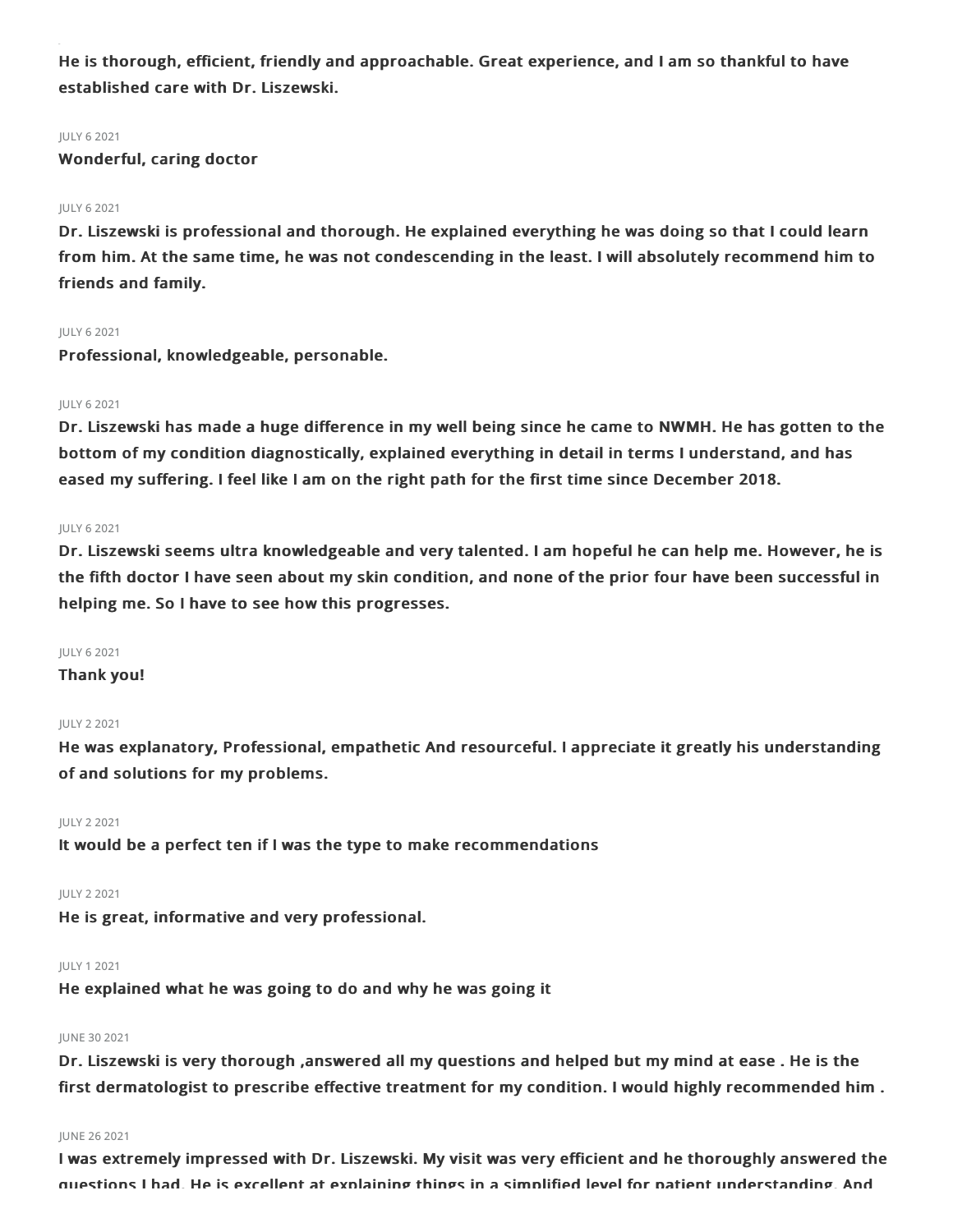He is thorough, efficient, friendly and approachable. Great experience, and I am so thankful to have established care with Dr. Liszewski.

#### JULY 62021

Wonderful, caring doctor

#### JULY 62021

Dr. Liszewski is professional and thorough. He explained everything he was doing so that I could learn from him. At the same time, he was not condescending in the least. I will absolutely recommend him to friends and family.

#### JULY 62021

Professional, knowledgeable, personable.

#### JULY 62021

Dr. Liszewski has made a huge difference in my well being since he came to NWMH. He has gotten to the bottom of my condition diagnostically, explained everything in detail in terms I understand, and has eased my suffering. I feel like I am on the right path for the first time since December 2018.

#### JULY 62021

Dr. Liszewski seems ultra knowledgeable and very talented. I am hopeful he can help me. However, he is the fifth doctor I have seen about my skin condition, and none of the prior four have been successful in helping me. So I have to see how this progresses.

#### JULY 62021

## Thank you!

#### JULY 22021

He was explanatory, Professional, empathetic And resourceful. I appreciate it greatly his understanding of and solutions for my problems.

#### JULY 22021

It would be a perfect ten if I was the type to make recommendations

#### JULY 22021

He is great, informative and very professional.

#### JULY 12021

He explained what he was going to do and why he was going it

#### JUNE 302021

Dr. Liszewski is very thorough ,answered all my questions and helped but my mind at ease . He is the first dermatologist to prescribe effective treatment for my condition. I would highly recommended him .

#### JUNE 262021

I was extremely impressed with Dr. Liszewski. My visit was very efficient and he thoroughly answered the questions I had. He is excellent at explaining things in a simplified level for patient understanding. And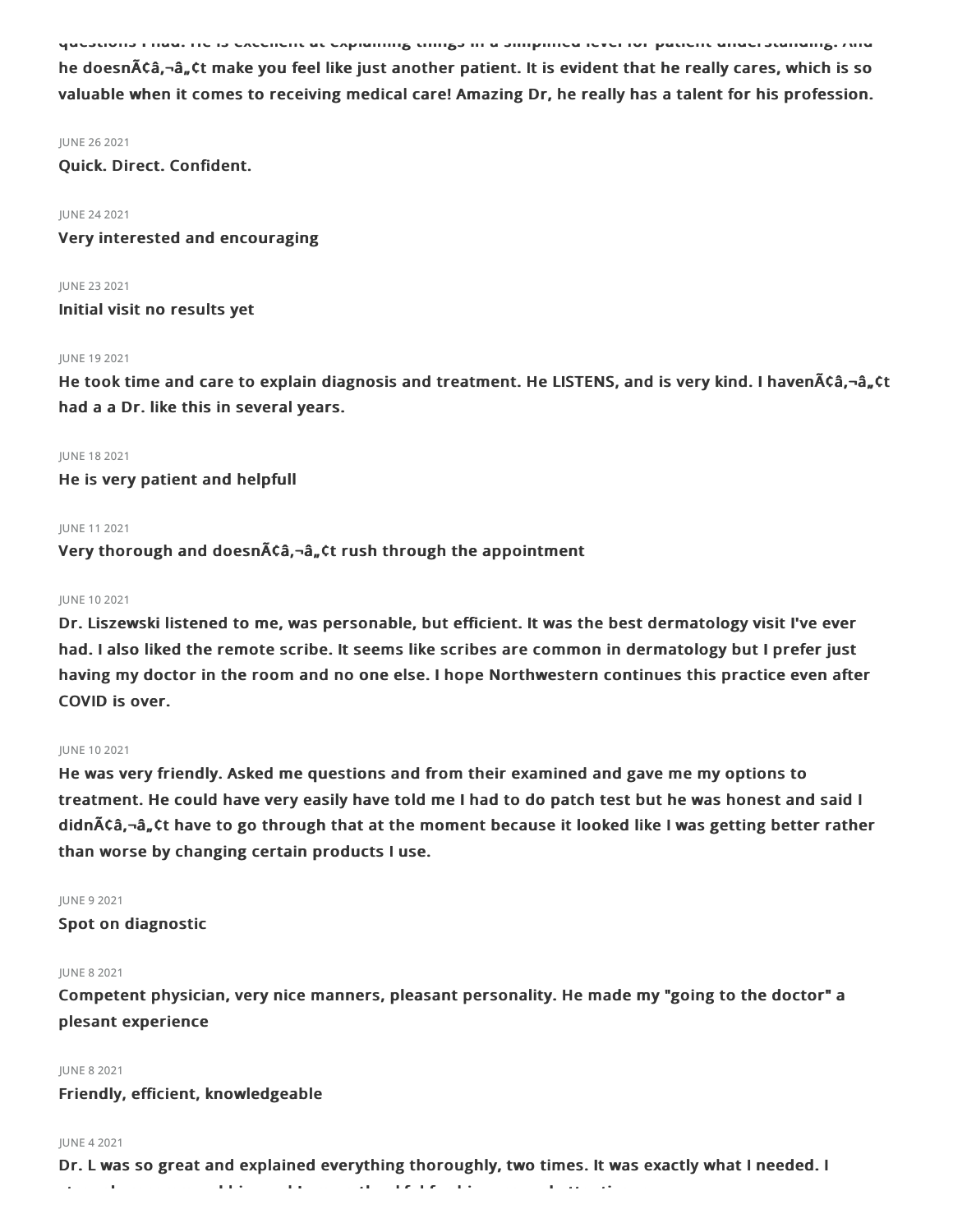questions I had. He is excellent at explaining things in a simplified level for patient understanding. And he doesn $\bar{A}$ ¢â,¬â, ¢t make you feel like just another patient. It is evident that he really cares, which is so valuable when it comes to receiving medical care! Amazing Dr, he really has a talent for his profession.

#### JUNE 262021

Quick. Direct. Confident.

#### JUNE 242021

Very interested and encouraging

JUNE 232021 Initial visit no results yet

#### JUNE 192021

He took time and care to explain diagnosis and treatment. He LISTENS, and is very kind. I haven $\tilde{A}$ Ca, $-\hat{a}_n$ Ct had a a Dr. like this in several years.

#### JUNE 182021

He is very patient and helpfull

#### JUNE 112021

Very thorough and doesn $\tilde{A}$ câ,  $\tilde{a}$ , Ct rush through the appointment

#### JUNE 102021

Dr. Liszewski listened to me, was personable, but efficient. It was the best dermatology visit I've ever had. I also liked the remote scribe. It seems like scribes are common in dermatology but I prefer just having my doctor in the room and no one else. I hope Northwestern continues this practice even after COVID is over.

#### JUNE 102021

He was very friendly. Asked me questions and from their examined and gave me my options to treatment. He could have very easily have told me I had to do patch test but he was honest and said I didn $\tilde{\text{AC}}$ â, $\tilde{\text{a}}$ , $\tilde{\text{C}}$ t have to go through that at the moment because it looked like I was getting better rather than worse by changing certain products I use.

#### JUNE 92021

Spot on diagnostic

#### JUNE 82021

Competent physician, very nice manners, pleasant personality. He made my "going to the doctor" a plesant experience

#### JUNE 82021

Friendly, efficient, knowledgeable

#### JUNE 42021

Dr. L was so great and explained everything thoroughly, two times. It was exactly what I needed. I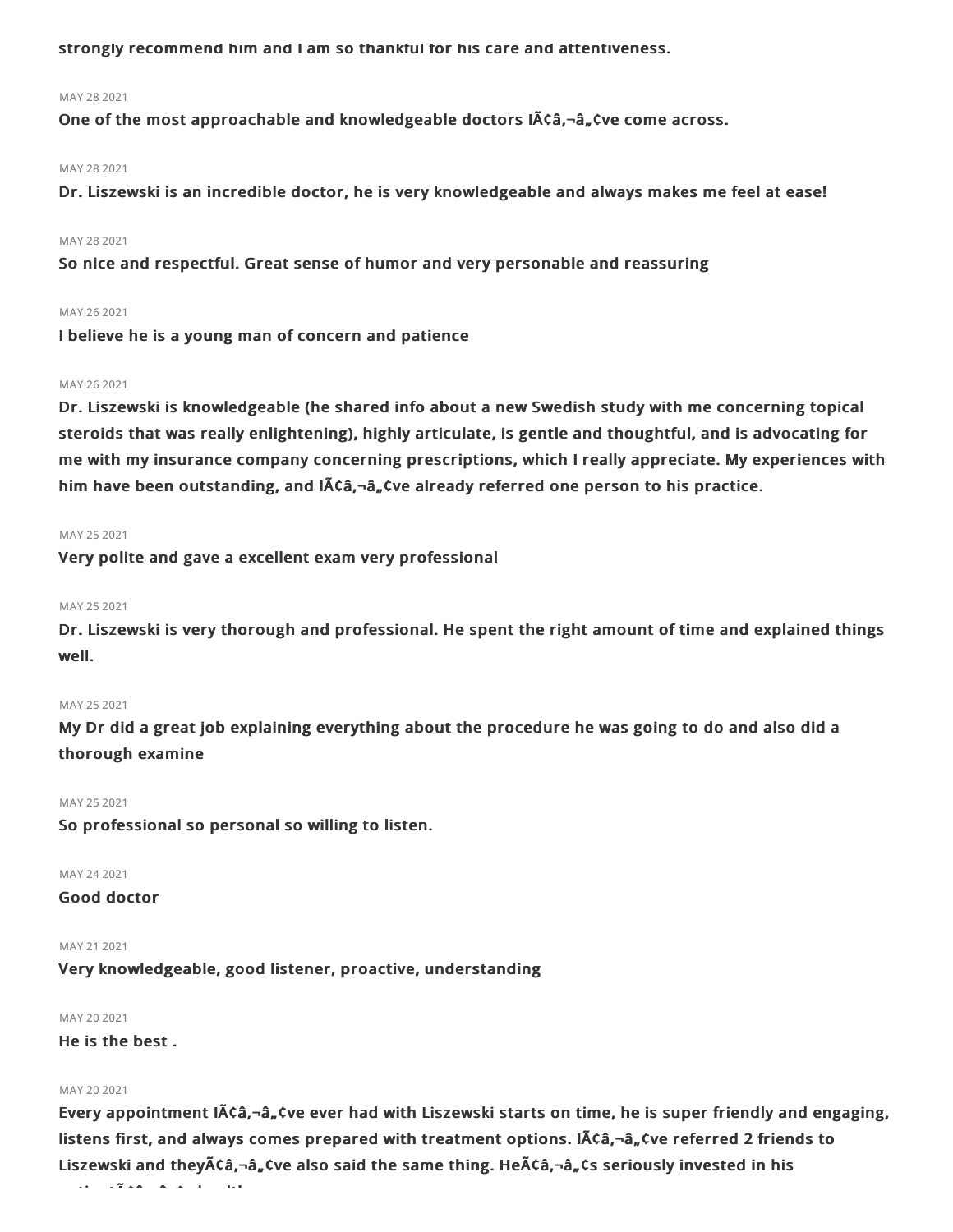strongly recommend him and I am so thankful for his care and attentiveness.

#### MAY 282021

One of the most approachable and knowledgeable doctors  $\tilde{A}\tilde{C}a$ ,  $\tilde{a}$ ,  $\tilde{C}$ ve come across.

#### MAY 282021

Dr. Liszewski is an incredible doctor, he is very knowledgeable and always makes me feel at ease!

#### MAY 28 2021

So nice and respectful. Great sense of humor and very personable and reassuring

#### MAY 26 2021

I believe he is a young man of concern and patience

### MAY 262021

Dr. Liszewski is knowledgeable (he shared info about a new Swedish study with me concerning topical steroids that was really enlightening), highly articulate, is gentle and thoughtful, and is advocating for me with my insurance company concerning prescriptions, which I really appreciate. My experiences with him have been outstanding, and  $\tilde{\mathsf{A}}$  angle already referred one person to his practice.

#### MAY 25 2021

Very polite and gave a excellent exam very professional

#### MAY 25 2021

Dr. Liszewski is very thorough and professional. He spent the right amount of time and explained things well.

#### MAY 25 2021

My Dr did a great job explaining everything about the procedure he was going to do and also did a thorough examine

#### MAY 25 2021

So professional so personal so willing to listen.

MAY 242021

Good doctor

#### MAY 21 2021

Very knowledgeable, good listener, proactive, understanding

#### MAY 20 2021

He is the best .

#### MAY 20 2021

Every appointment  $\tilde{A}\tilde{C}\hat{a}$ ,  $-\hat{a}$ ,  $\tilde{C}$ ve ever had with Liszewski starts on time, he is super friendly and engaging, listens first, and always comes prepared with treatment options. I $\tilde{\theta}$ Ca  $\neg$   $\tilde{a}$   $\pi$   $\tilde{a}$  referred 2 friends to Liszewski and they $\tilde{A}$ câ, $-\hat{a}_n$ , tve also said the same thing. He $\tilde{A}$ câ, $-\hat{a}_n$ cs seriously invested in his

patient's health.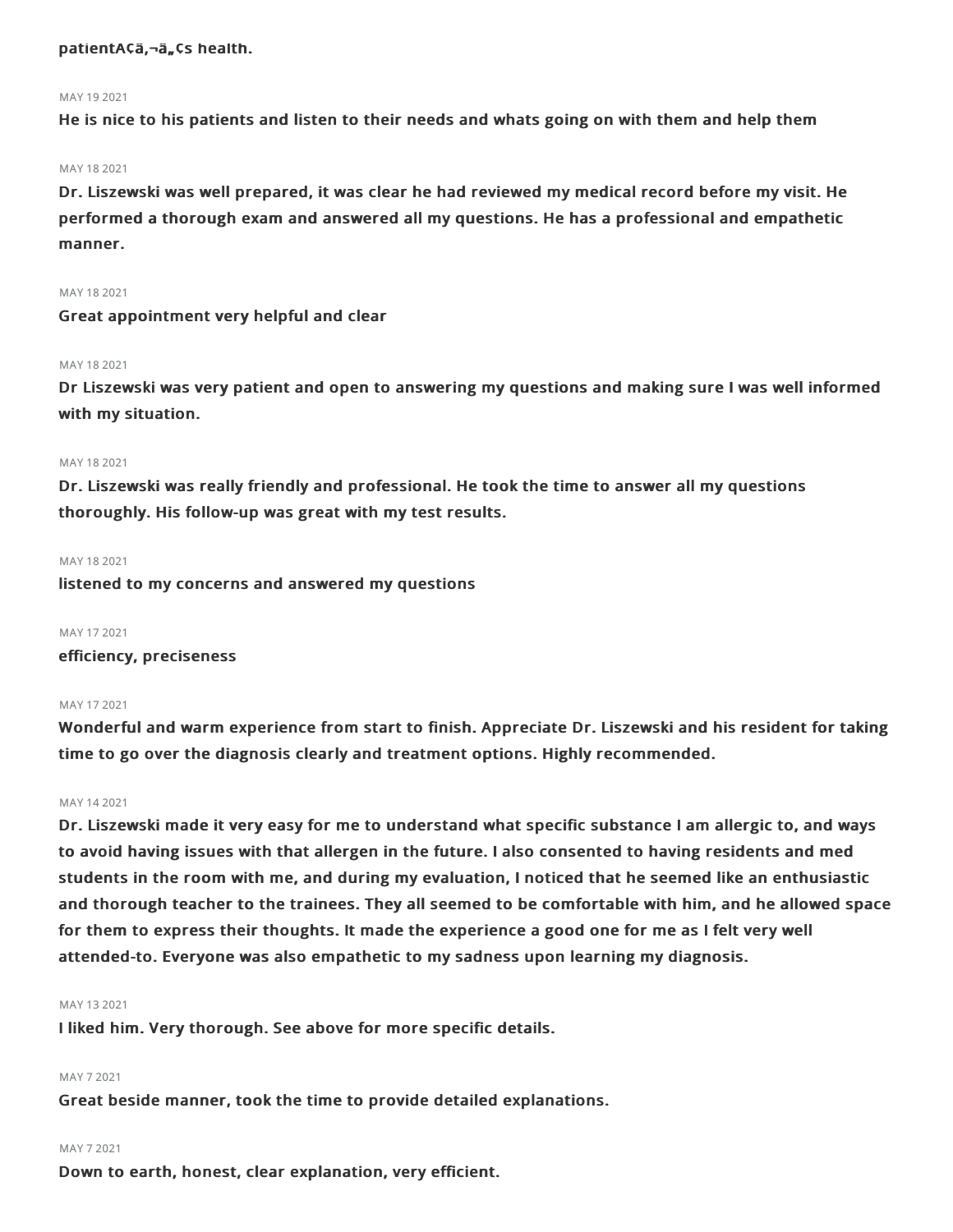#### patientA¢ä,¬ä"¢s health.

#### MAY 192021

He is nice to his patients and listen to their needs and whats going on with them and help them

#### MAY 182021

Dr. Liszewski was well prepared, it was clear he had reviewed my medical record before my visit. He performed a thorough exam and answered all my questions. He has a professional and empathetic manner.

#### MAY 182021

Great appointment very helpful and clear

#### MAY 18 2021

Dr Liszewski was very patient and open to answering my questions and making sure I was well informed with my situation.

#### MAY 18 2021

Dr. Liszewski was really friendly and professional. He took the time to answer all my questions thoroughly. His follow-up was great with my test results.

#### MAY 18 2021

listened to my concerns and answered my questions

#### MAY 172021

efficiency, preciseness

#### MAY 172021

Wonderful and warm experience from start to finish. Appreciate Dr. Liszewski and his resident for taking time to go over the diagnosis clearly and treatment options. Highly recommended.

#### MAY 142021

Dr. Liszewski made it very easy for me to understand what specific substance I am allergic to, and ways to avoid having issues with that allergen in the future. I also consented to having residents and med students in the room with me, and during my evaluation, I noticed that he seemed like an enthusiastic and thorough teacher to the trainees. They all seemed to be comfortable with him, and he allowed space for them to express their thoughts. It made the experience a good one for me as I felt very well attended-to. Everyone was also empathetic to my sadness upon learning my diagnosis.

#### MAY 132021

I liked him. Very thorough. See above for more specific details.

#### MAY 72021

Great beside manner, took the time to provide detailed explanations.

#### MAY 72021

Down to earth, honest, clear explanation, very efficient.